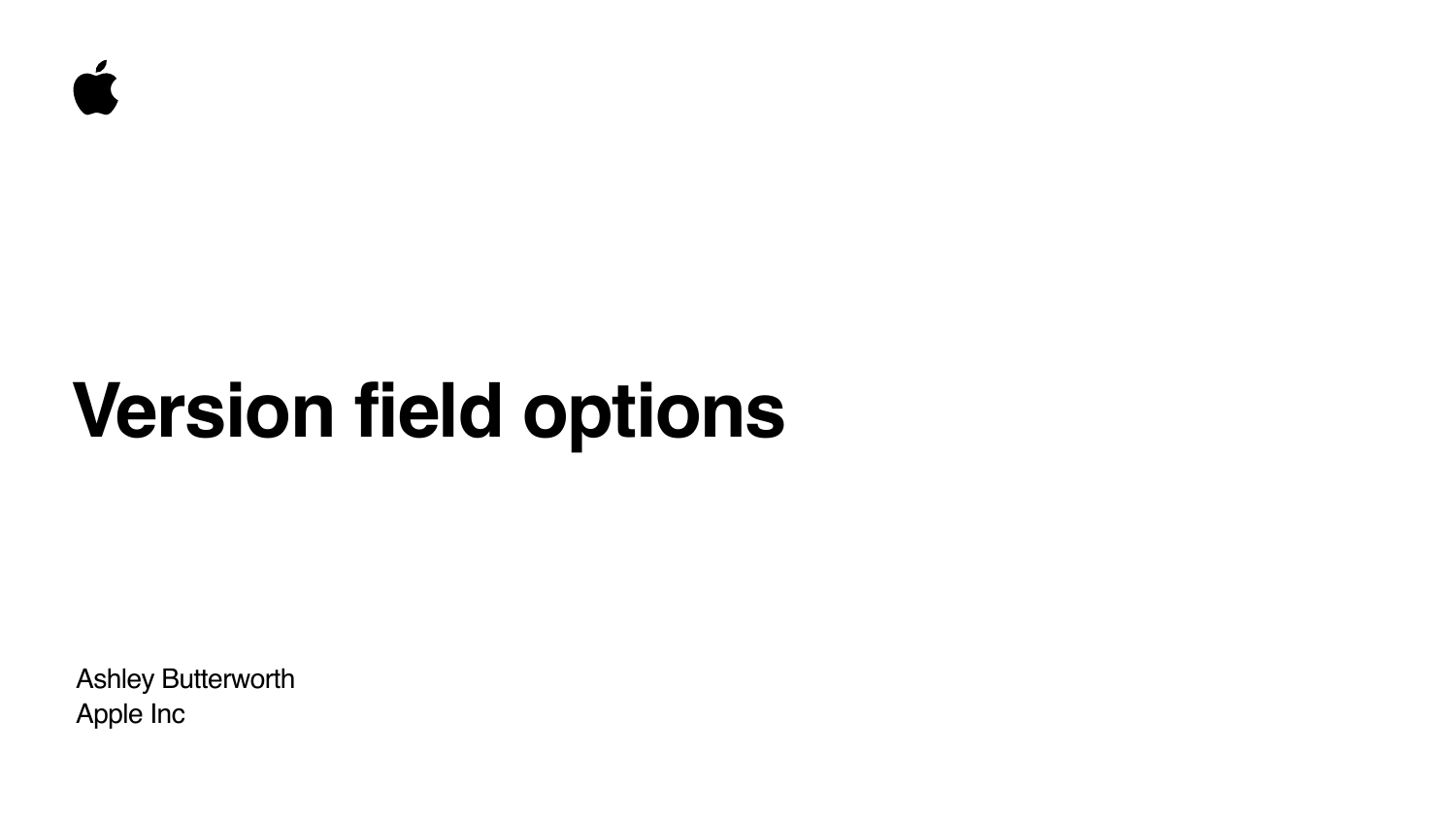Ashley Butterworth Apple Inc





# **Version field options**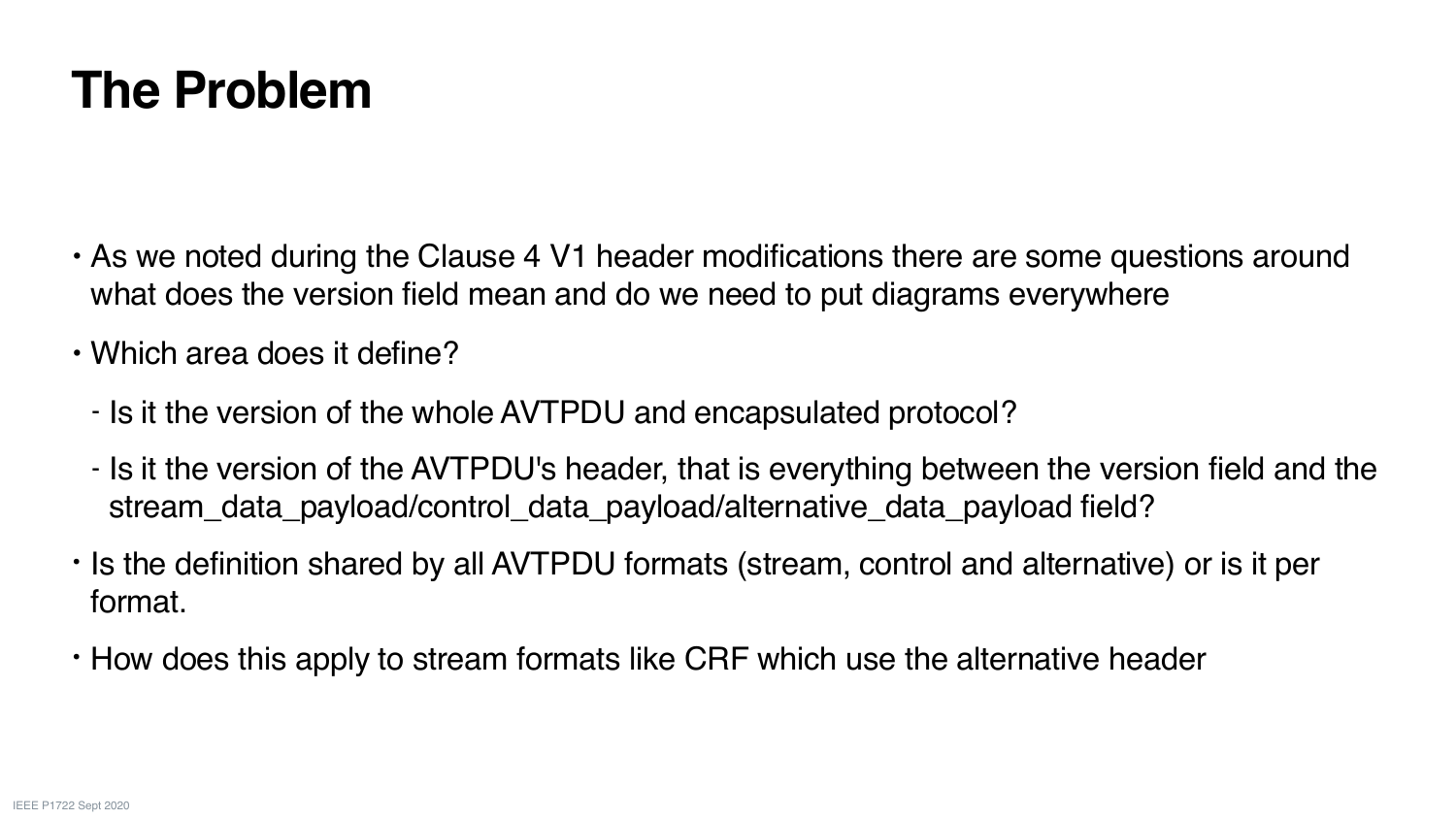#### **The Problem**

• As we noted during the Clause 4 V1 header modifications there are some questions around

- Is it the version of the AVTPDU's header, that is everything between the version field and the

- what does the version field mean and do we need to put diagrams everywhere
- Which area does it define?
	- Is it the version of the whole AVTPDU and encapsulated protocol?
	- stream\_data\_payload/control\_data\_payload/alternative\_data\_payload field?
- format.
- How does this apply to stream formats like CRF which use the alternative header

• Is the definition shared by all AVTPDU formats (stream, control and alternative) or is it per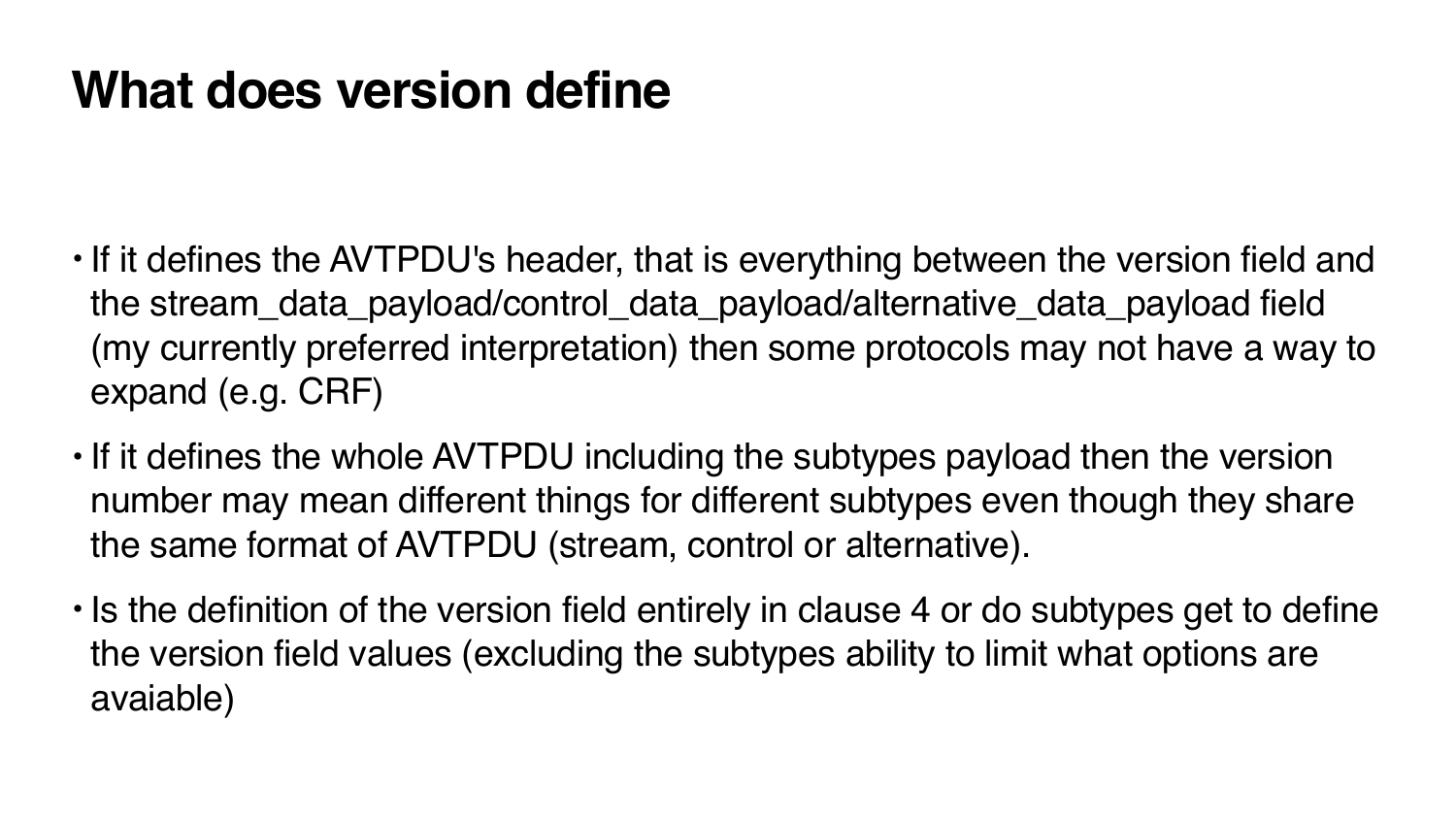#### **What does version define**

• If it defines the AVTPDU's header, that is everything between the version field and the stream\_data\_payload/control\_data\_payload/alternative\_data\_payload field (my currently preferred interpretation) then some protocols may not have a way to

• If it defines the whole AVTPDU including the subtypes payload then the version number may mean different things for different subtypes even though they share

- expand (e.g. CRF)
- the same format of AVTPDU (stream, control or alternative).
- avaiable)

• Is the definition of the version field entirely in clause 4 or do subtypes get to define the version field values (excluding the subtypes ability to limit what options are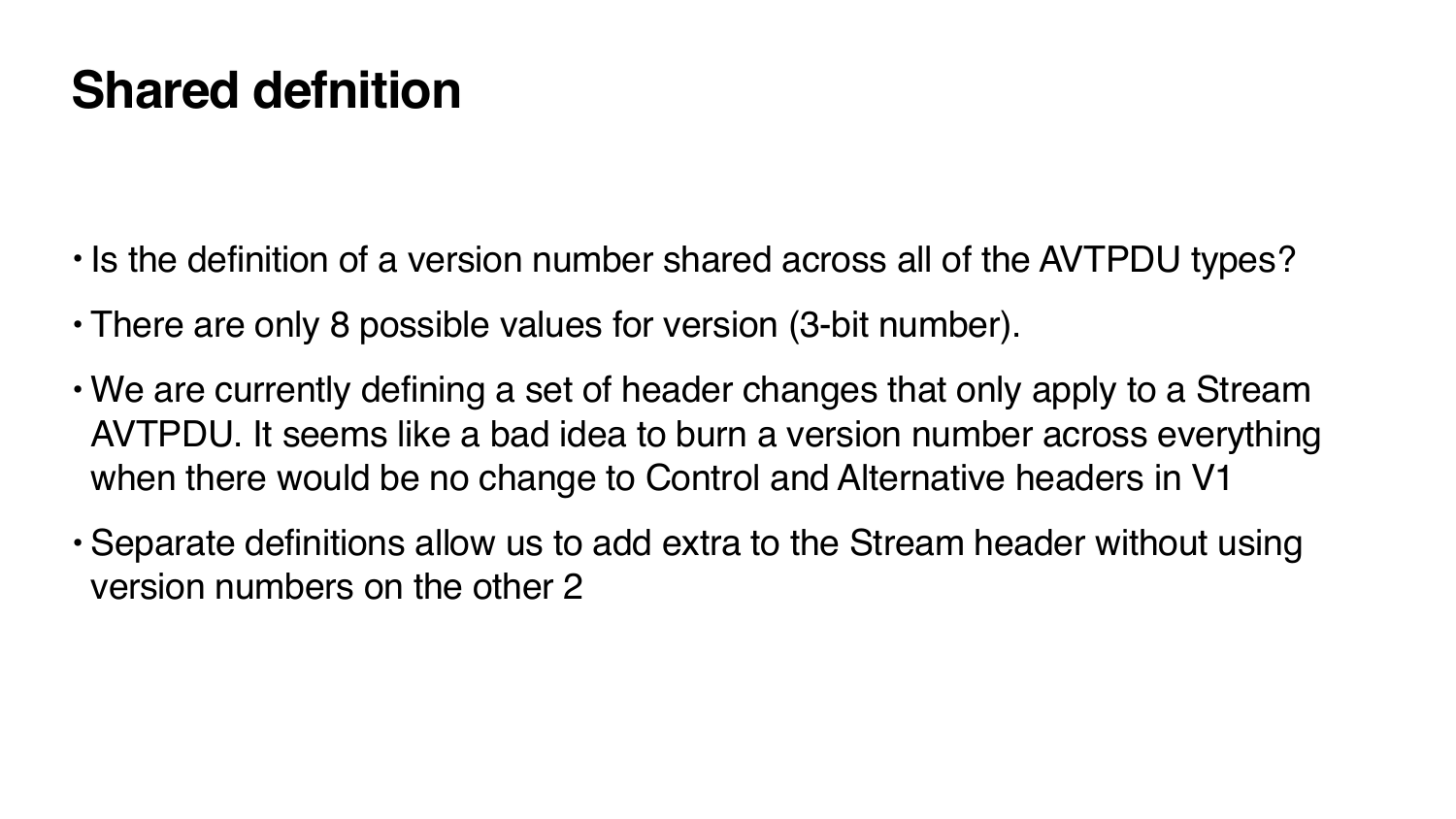#### **Shared defnition**

- Is the definition of a version number shared across all of the AVTPDU types?
- There are only 8 possible values for version (3-bit number).
- We are currently defining a set of header changes that only apply to a Stream AVTPDU. It seems like a bad idea to burn a version number across everything when there would be no change to Control and Alternative headers in V1
- Separate definitions allow us to add extra to the Stream header without using version numbers on the other 2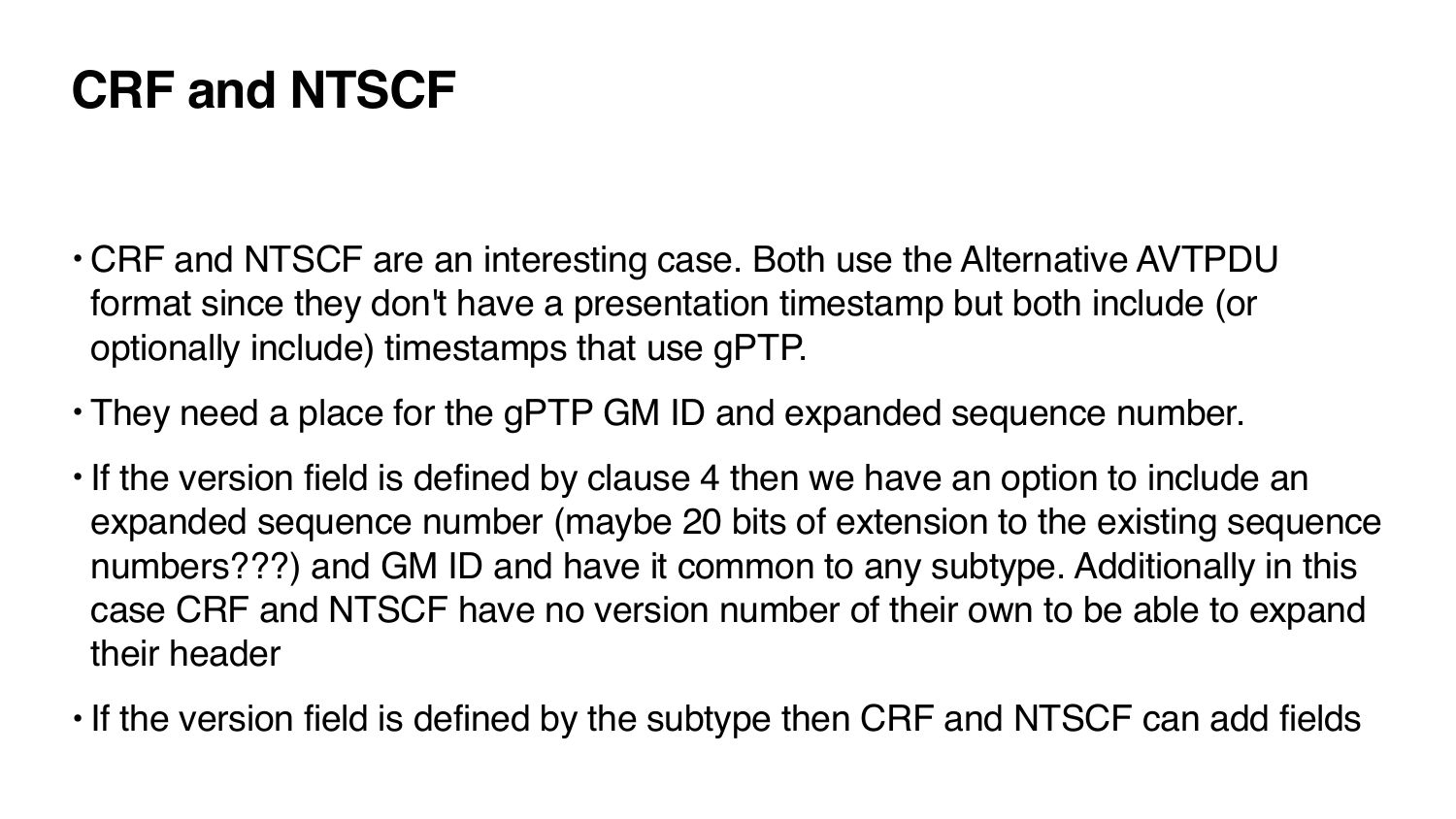### **CRF and NTSCF**

- CRF and NTSCF are an interesting case. Both use the Alternative AVTPDU format since they don't have a presentation timestamp but both include (or optionally include) timestamps that use gPTP.
- They need a place for the gPTP GM ID and expanded sequence number.
- If the version field is defined by clause 4 then we have an option to include an expanded sequence number (maybe 20 bits of extension to the existing sequence numbers???) and GM ID and have it common to any subtype. Additionally in this case CRF and NTSCF have no version number of their own to be able to expand their header
- If the version field is defined by the subtype then CRF and NTSCF can add fields

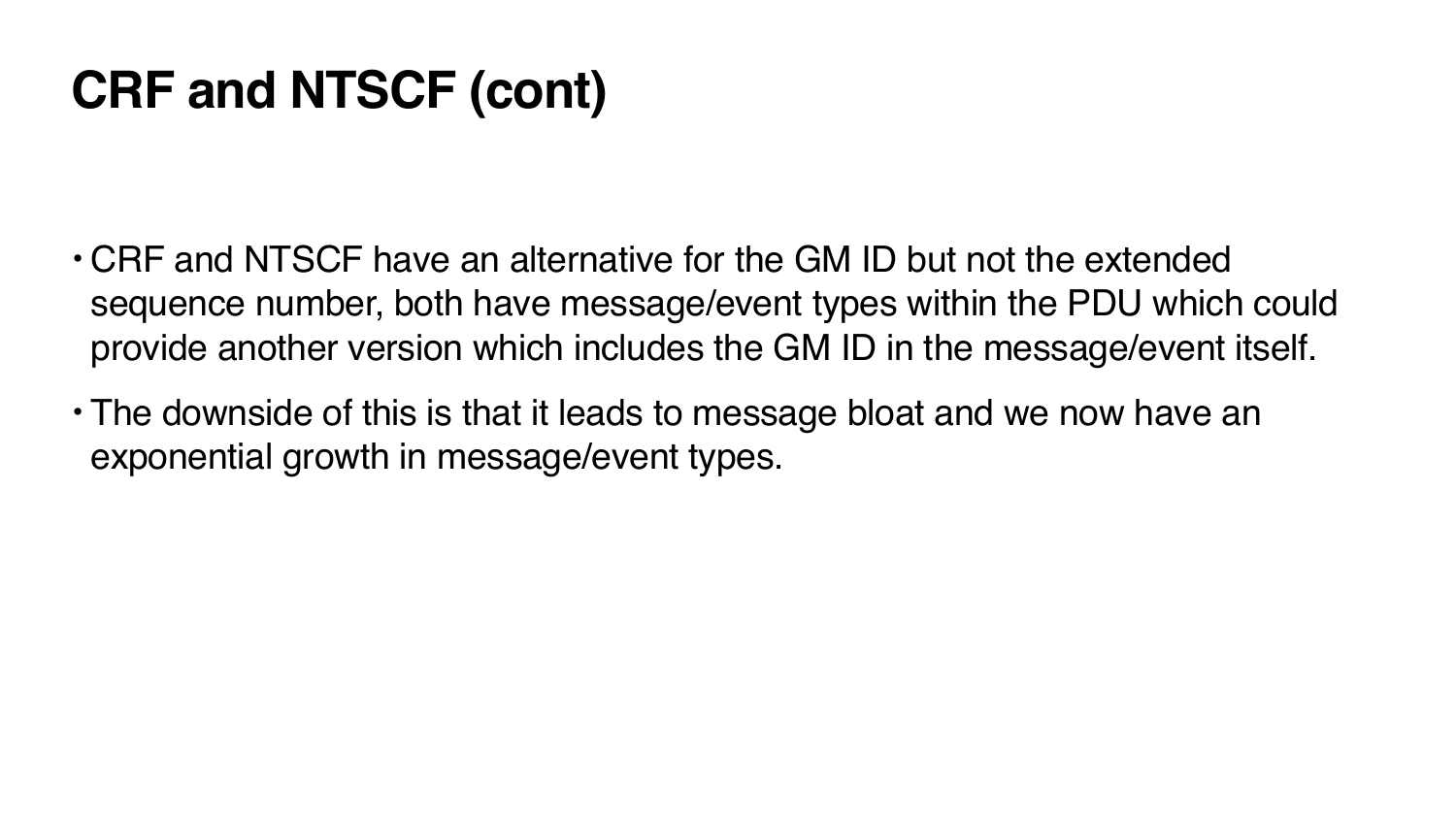## **CRF and NTSCF (cont)**

sequence number, both have message/event types within the PDU which could provide another version which includes the GM ID in the message/event itself.

- CRF and NTSCF have an alternative for the GM ID but not the extended
- The downside of this is that it leads to message bloat and we now have an exponential growth in message/event types.